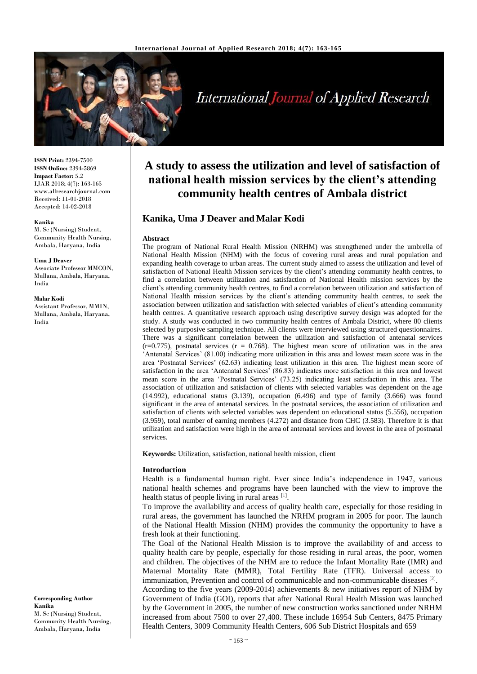

# International Journal of Applied Research

**ISSN Print:** 2394-7500 **ISSN Online:** 2394-5869 **Impact Factor:** 5.2 IJAR 2018; 4(7): 163-165 www.allresearchjournal.com Received: 11-01-2018 Accepted: 14-02-2018

#### **Kanika**

M. Sc (Nursing) Student, Community Health Nursing, Ambala, Haryana, India

#### **Uma J Deaver**

Associate Professor MMCON, Mullana, Ambala, Haryana, India

#### **Malar Kodi**

Assistant Professor, MMIN Mullana, Ambala, Haryana, India

# **A study to assess the utilization and level of satisfaction of national health mission services by the client's attending community health centres of Ambala district**

# **Kanika, Uma J Deaver and Malar Kodi**

#### **Abstract**

The program of National Rural Health Mission (NRHM) was strengthened under the umbrella of National Health Mission (NHM) with the focus of covering rural areas and rural population and expanding health coverage to urban areas. The current study aimed to assess the utilization and level of satisfaction of National Health Mission services by the client's attending community health centres, to find a correlation between utilization and satisfaction of National Health mission services by the client's attending community health centres, to find a correlation between utilization and satisfaction of National Health mission services by the client's attending community health centres, to seek the association between utilization and satisfaction with selected variables of client's attending community health centres. A quantitative research approach using descriptive survey design was adopted for the study. A study was conducted in two community health centres of Ambala District, where 80 clients selected by purposive sampling technique. All clients were interviewed using structured questionnaires. There was a significant correlation between the utilization and satisfaction of antenatal services  $(r=0.775)$ , postnatal services  $(r = 0.768)$ . The highest mean score of utilization was in the area 'Antenatal Services' (81.00) indicating more utilization in this area and lowest mean score was in the area 'Postnatal Services' (62.63) indicating least utilization in this area. The highest mean score of satisfaction in the area 'Antenatal Services' (86.83) indicates more satisfaction in this area and lowest mean score in the area 'Postnatal Services' (73.25) indicating least satisfaction in this area. The association of utilization and satisfaction of clients with selected variables was dependent on the age (14.992), educational status (3.139), occupation (6.496) and type of family (3.666) was found significant in the area of antenatal services. In the postnatal services, the association of utilization and satisfaction of clients with selected variables was dependent on educational status (5.556), occupation (3.959), total number of earning members (4.272) and distance from CHC (3.583). Therefore it is that utilization and satisfaction were high in the area of antenatal services and lowest in the area of postnatal services.

**Keywords:** Utilization, satisfaction, national health mission, client

#### **Introduction**

Health is a fundamental human right. Ever since India's independence in 1947, various national health schemes and programs have been launched with the view to improve the health status of people living in rural areas [1].

To improve the availability and access of quality health care, especially for those residing in rural areas, the government has launched the NRHM program in 2005 for poor. The launch of the National Health Mission (NHM) provides the community the opportunity to have a fresh look at their functioning.

The Goal of the National Health Mission is to improve the availability of and access to quality health care by people, especially for those residing in rural areas, the poor, women and children. The objectives of the NHM are to reduce the Infant Mortality Rate (IMR) and Maternal Mortality Rate (MMR), Total Fertility Rate (TFR). Universal access to immunization, Prevention and control of communicable and non-communicable diseases [2].

According to the five years (2009-2014) achievements & new initiatives report of NHM by Government of India (GOI), reports that after National Rural Health Mission was launched by the Government in 2005, the number of new construction works sanctioned under NRHM increased from about 7500 to over 27,400. These include 16954 Sub Centers, 8475 Primary Health Centers, 3009 Community Health Centers, 606 Sub District Hospitals and 659

**Corresponding Author Kanika** M. Sc (Nursing) Student, Community Health Nursing, Ambala, Haryana, India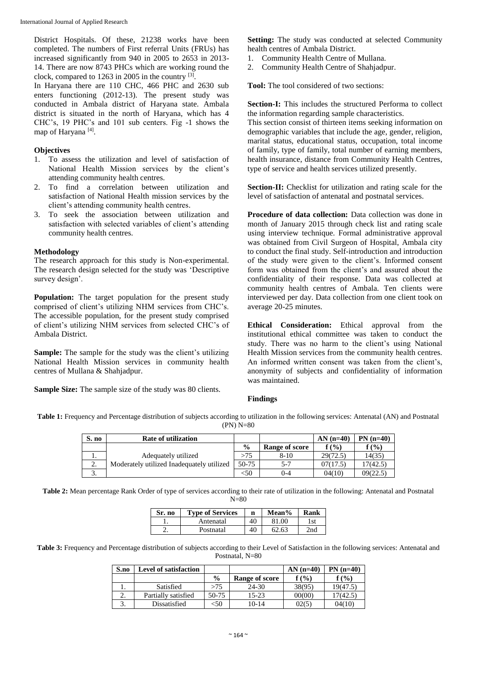District Hospitals. Of these, 21238 works have been completed. The numbers of First referral Units (FRUs) has increased significantly from 940 in 2005 to 2653 in 2013- 14. There are now 8743 PHCs which are working round the clock, compared to 1263 in 2005 in the country [3].

In Haryana there are 110 CHC, 466 PHC and 2630 sub enters functioning (2012-13). The present study was conducted in Ambala district of Haryana state. Ambala district is situated in the north of Haryana, which has 4 CHC's, 19 PHC's and 101 sub centers. Fig -1 shows the map of Haryana<sup>[4]</sup>.

#### **Objectives**

- 1. To assess the utilization and level of satisfaction of National Health Mission services by the client's attending community health centres.
- 2. To find a correlation between utilization and satisfaction of National Health mission services by the client's attending community health centres.
- 3. To seek the association between utilization and satisfaction with selected variables of client's attending community health centres.

#### **Methodology**

The research approach for this study is Non-experimental. The research design selected for the study was 'Descriptive survey design'.

**Population:** The target population for the present study comprised of client's utilizing NHM services from CHC's. The accessible population, for the present study comprised of client's utilizing NHM services from selected CHC's of Ambala District.

**Sample:** The sample for the study was the client's utilizing National Health Mission services in community health centres of Mullana & Shahjadpur.

**Sample Size:** The sample size of the study was 80 clients.

Setting: The study was conducted at selected Community health centres of Ambala District.

- 1. Community Health Centre of Mullana.
- 2. Community Health Centre of Shahjadpur.

**Tool:** The tool considered of two sections:

**Section-I:** This includes the structured Performa to collect the information regarding sample characteristics.

This section consist of thirteen items seeking information on demographic variables that include the age, gender, religion, marital status, educational status, occupation, total income of family, type of family, total number of earning members, health insurance, distance from Community Health Centres, type of service and health services utilized presently.

**Section-II:** Checklist for utilization and rating scale for the level of satisfaction of antenatal and postnatal services.

**Procedure of data collection:** Data collection was done in month of January 2015 through check list and rating scale using interview technique. Formal administrative approval was obtained from Civil Surgeon of Hospital, Ambala city to conduct the final study. Self-introduction and introduction of the study were given to the client's. Informed consent form was obtained from the client's and assured about the confidentiality of their response. Data was collected at community health centres of Ambala. Ten clients were interviewed per day. Data collection from one client took on average 20-25 minutes.

**Ethical Consideration:** Ethical approval from the institutional ethical committee was taken to conduct the study. There was no harm to the client's using National Health Mission services from the community health centres. An informed written consent was taken from the client's, anonymity of subjects and confidentiality of information was maintained.

## **Findings**

**Table 1:** Frequency and Percentage distribution of subjects according to utilization in the following services: Antenatal (AN) and Postnatal (PN) N=80

| S. no        | <b>Rate of utilization</b>                |               |                | AN $(n=40)$ | $PN(n=40)$ |
|--------------|-------------------------------------------|---------------|----------------|-------------|------------|
|              |                                           | $\frac{0}{0}$ | Range of score | $f($ %)     | f $(\% )$  |
| 1.           | Adequately utilized                       | >75           | $8-10$         | 29(72.5)    | 14(35)     |
| $\sim$<br>Z. | Moderately utilized Inadequately utilized | 50-75         | 5-7            | 07(17.5)    | 17(42.5)   |
| J.           |                                           | <50           | $0 - 4$        | 04(10)      | 09(22.5)   |

**Table 2:** Mean percentage Rank Order of type of services according to their rate of utilization in the following: Antenatal and Postnatal

 $N=80$ 

| Sr. no | <b>Type of Services</b> | n  | Mean% | Rank |
|--------|-------------------------|----|-------|------|
|        | Antenatal               | 40 | 81.00 | l st |
|        | Postnatal               | 40 | 62.63 | 2nd  |

**Table 3:** Frequency and Percentage distribution of subjects according to their Level of Satisfaction in the following services: Antenatal and Postnatal, N=80

| S.no | <b>Level of satisfaction</b> |               |                | $AN(n=40)$ | $PN(n=40)$ |
|------|------------------------------|---------------|----------------|------------|------------|
|      |                              | $\frac{6}{9}$ | Range of score | f(%)       | $f($ %)    |
|      | Satisfied                    | >75           | $24 - 30$      | 38(95)     | 19(47.5)   |
| ـ.   | Partially satisfied          | 50-75         | 15-23          | 00(00)     | 17(42.5)   |
|      | Dissatisfied                 | ි0            | 10-14          | 02(5       | 04(10)     |